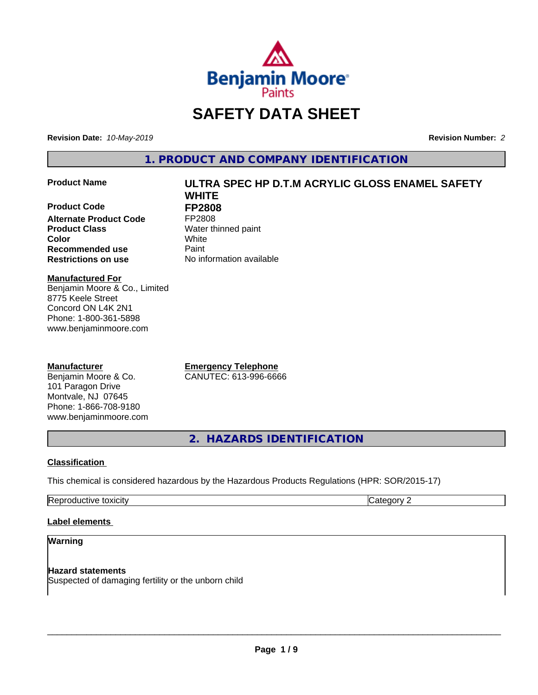

# **SAFETY DATA SHEET**

**Revision Date:** *10-May-2019* **Revision Number:** *2*

**1. PRODUCT AND COMPANY IDENTIFICATION**

## **Product Name ULTRA SPEC HP D.T.M ACRYLIC GLOSS ENAMEL SAFETY**

**Product Code FP2808**<br>Alternate Product Code FP2808 **Alternate Product Code Product Class** Water thinned paint **Recommended use Caint Restrictions on use** No information available

**WHITE Color** White

## **Manufactured For** Benjamin Moore & Co., Limited 8775 Keele Street Concord ON L4K 2N1 Phone: 1-800-361-5898 www.benjaminmoore.com

## **Manufacturer**

Benjamin Moore & Co. 101 Paragon Drive Montvale, NJ 07645 Phone: 1-866-708-9180 www.benjaminmoore.com

**Emergency Telephone** CANUTEC: 613-996-6666

**2. HAZARDS IDENTIFICATION**

## **Classification**

This chemical is considered hazardous by the Hazardous Products Regulations (HPR: SOR/2015-17)

Reproductive toxicity **Category 2 Category 2** 

## **Label elements**

## **Warning**

**Hazard statements** Suspected of damaging fertility or the unborn child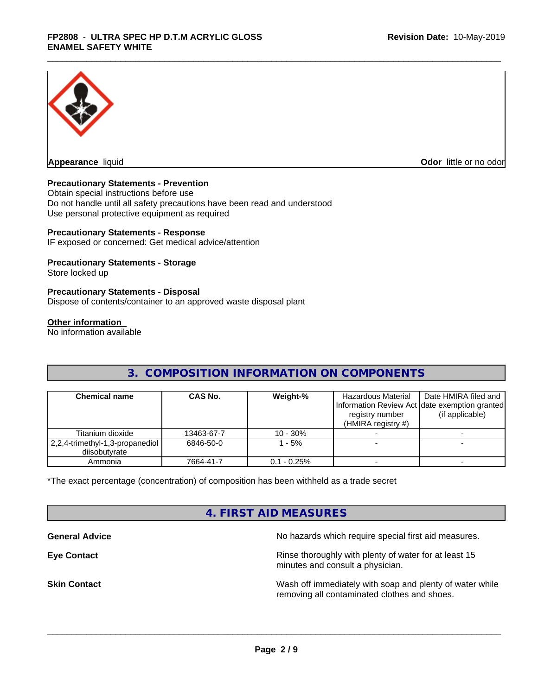

**Appearance** liquid

**Odor** little or no odor

## **Precautionary Statements - Prevention**

Obtain special instructions before use Do not handle until all safety precautions have been read and understood Use personal protective equipment as required

## **Precautionary Statements - Response**

IF exposed or concerned: Get medical advice/attention

## **Precautionary Statements - Storage**

Store locked up

## **Precautionary Statements - Disposal**

Dispose of contents/container to an approved waste disposal plant

#### **Other information**

No information available

## **3. COMPOSITION INFORMATION ON COMPONENTS**

| <b>Chemical name</b>                             | CAS No.    | Weight-%      | Hazardous Material<br>registry number<br>(HMIRA registry $#$ ) | Date HMIRA filed and<br>Information Review Act Idate exemption granted<br>(if applicable) |
|--------------------------------------------------|------------|---------------|----------------------------------------------------------------|-------------------------------------------------------------------------------------------|
| Titanium dioxide                                 | 13463-67-7 | $10 - 30%$    |                                                                |                                                                                           |
| 2,2,4-trimethyl-1,3-propanediol<br>diisobutvrate | 6846-50-0  | $-5%$         |                                                                |                                                                                           |
| Ammonia                                          | 7664-41-7  | $0.1 - 0.25%$ |                                                                |                                                                                           |

\*The exact percentage (concentration) of composition has been withheld as a trade secret

## **4. FIRST AID MEASURES**

**General Advice General Advice No hazards which require special first aid measures.** 

**Eye Contact Exercise 20 All 20 All 20 All 20 All 20 All 20 All 20 All 20 All 20 All 20 All 20 All 20 All 20 All 20 All 20 All 20 All 20 All 20 All 20 All 20 All 20 All 20 All 20 All 20 All 20 All 20 All 20 All 20 All 20** minutes and consult a physician.

**Skin Contact** Mash of immediately with soap and plenty of water while removing all contaminated clothes and shoes.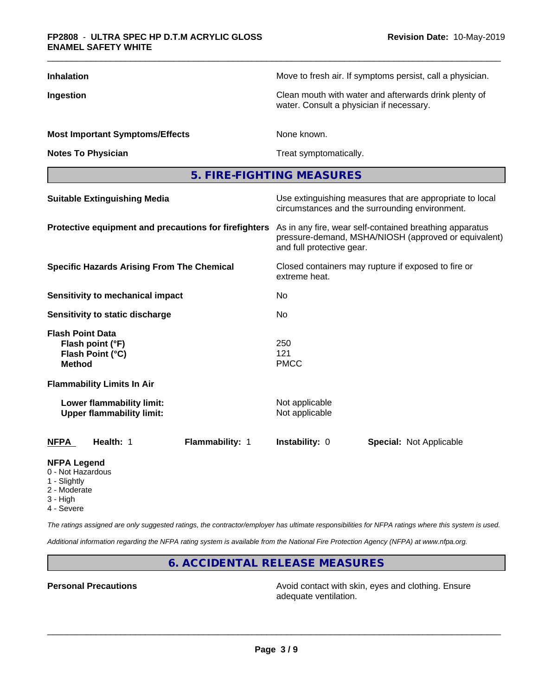| <b>Inhalation</b>                                                                | Move to fresh air. If symptoms persist, call a physician.                                                                                    |  |  |
|----------------------------------------------------------------------------------|----------------------------------------------------------------------------------------------------------------------------------------------|--|--|
| Ingestion                                                                        | Clean mouth with water and afterwards drink plenty of<br>water. Consult a physician if necessary.                                            |  |  |
| <b>Most Important Symptoms/Effects</b>                                           | None known.                                                                                                                                  |  |  |
| <b>Notes To Physician</b>                                                        | Treat symptomatically.                                                                                                                       |  |  |
|                                                                                  | 5. FIRE-FIGHTING MEASURES                                                                                                                    |  |  |
| <b>Suitable Extinguishing Media</b>                                              | Use extinguishing measures that are appropriate to local<br>circumstances and the surrounding environment.                                   |  |  |
| Protective equipment and precautions for firefighters                            | As in any fire, wear self-contained breathing apparatus<br>pressure-demand, MSHA/NIOSH (approved or equivalent)<br>and full protective gear. |  |  |
| <b>Specific Hazards Arising From The Chemical</b>                                | Closed containers may rupture if exposed to fire or<br>extreme heat.                                                                         |  |  |
| <b>Sensitivity to mechanical impact</b>                                          | No                                                                                                                                           |  |  |
| Sensitivity to static discharge                                                  | No                                                                                                                                           |  |  |
| <b>Flash Point Data</b><br>Flash point (°F)<br>Flash Point (°C)<br><b>Method</b> | 250<br>121<br><b>PMCC</b>                                                                                                                    |  |  |
| <b>Flammability Limits In Air</b>                                                |                                                                                                                                              |  |  |
| Lower flammability limit:<br><b>Upper flammability limit:</b>                    | Not applicable<br>Not applicable                                                                                                             |  |  |
| Health: 1<br>Flammability: 1<br><b>NFPA</b>                                      | Instability: 0<br><b>Special: Not Applicable</b>                                                                                             |  |  |
| <b>NFPA Legend</b><br>0 - Not Hazardous                                          |                                                                                                                                              |  |  |

- 
- 1 Slightly
- 2 Moderate
- 3 High
- 4 Severe

*The ratings assigned are only suggested ratings, the contractor/employer has ultimate responsibilities for NFPA ratings where this system is used.*

*Additional information regarding the NFPA rating system is available from the National Fire Protection Agency (NFPA) at www.nfpa.org.*

**6. ACCIDENTAL RELEASE MEASURES**

**Personal Precautions Precautions** Avoid contact with skin, eyes and clothing. Ensure adequate ventilation.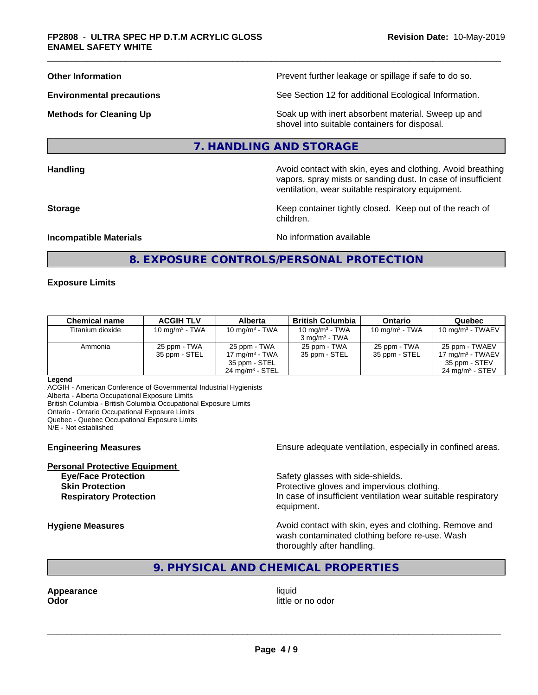**Other Information Department Information Department Intervent further leakage or spillage if safe to do so.** 

**Environmental precautions** See Section 12 for additional Ecological Information.

**Methods for Cleaning Up Example 20 All 20 All 20 All 20 Soak** up with inert absorbent material. Sweep up and shovel into suitable containers for disposal.

## **7. HANDLING AND STORAGE**

**Handling Handling Avoid contact with skin, eyes and clothing. Avoid breathing Handling Avoid breathing Avoid breathing** 

vapors, spray mists or sanding dust. In case of insufficient ventilation, wear suitable respiratory equipment. **Storage Keep container tightly closed. Keep out of the reach of Keep** container tightly closed. Keep out of the reach of

**Incompatible Materials Incompatible Materials No information available** 

## **8. EXPOSURE CONTROLS/PERSONAL PROTECTION**

children.

#### **Exposure Limits**

| <b>Chemical name</b> | <b>ACGIH TLV</b> | <b>Alberta</b>             | <b>British Columbia</b>  | <b>Ontario</b>    | Quebec                      |
|----------------------|------------------|----------------------------|--------------------------|-------------------|-----------------------------|
| Titanium dioxide     | 10 $mq/m3$ - TWA | 10 mg/m $3$ - TWA          | 10 mg/m $3$ - TWA        | 10 mg/m $3$ - TWA | $10 \text{ mg/m}^3$ - TWAEV |
|                      |                  |                            | $3 \text{ ma/m}^3$ - TWA |                   |                             |
| Ammonia              | 25 ppm - TWA     | 25 ppm - TWA               | 25 ppm - TWA             | 25 ppm - TWA      | 25 ppm - TWAEV              |
|                      | 35 ppm - STEL    | 17 mg/m $3$ - TWA          | 35 ppm - STEL            | 35 ppm - STEL     | 17 mg/m $3$ - TWAEV         |
|                      |                  | 35 ppm - STEL              |                          |                   | 35 ppm - STEV               |
|                      |                  | $24 \text{ ma/m}^3$ - STEL |                          |                   | $24 \text{ ma/m}^3$ - STEV  |

#### **Legend**

ACGIH - American Conference of Governmental Industrial Hygienists Alberta - Alberta Occupational Exposure Limits British Columbia - British Columbia Occupational Exposure Limits Ontario - Ontario Occupational Exposure Limits Quebec - Quebec Occupational Exposure Limits

N/E - Not established

**Personal Protective Equipment**

**Engineering Measures Ensure** Ensure adequate ventilation, especially in confined areas.

**Eye/Face Protection Safety glasses with side-shields.** Safety glasses with side-shields. **Skin Protection Protection Protective gloves and impervious clothing. Respiratory Protection In case of insufficient ventilation wear suitable respiratory** equipment.

**Hygiene Measures Avoid contact with skin, eyes and clothing. Remove and Avoid contact with skin, eyes and clothing. Remove and Avoid contact with skin, eyes and clothing. Remove and** wash contaminated clothing before re-use. Wash thoroughly after handling.

## **9. PHYSICAL AND CHEMICAL PROPERTIES**

**Appearance** liquid

**Odor** little or no odor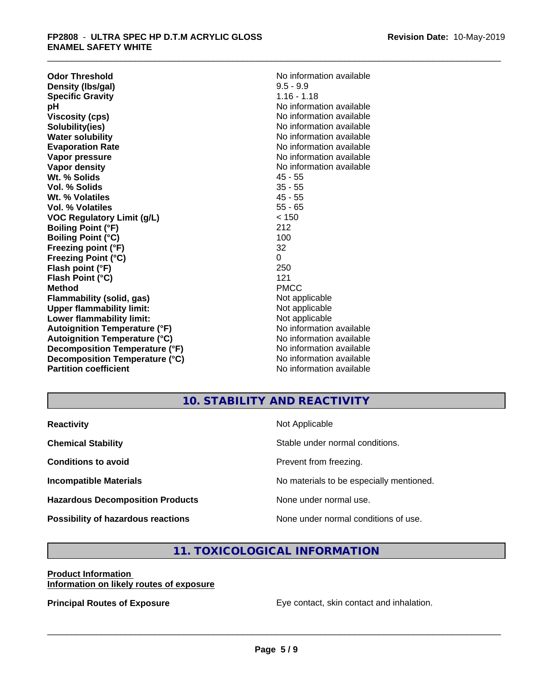**Odor Threshold**<br> **Density (Ibs/gal)**<br> **Density (Ibs/gal)**<br> **No information available**<br>  $9.5 - 9.9$ **Density (Ibs/gal)** 9.5 - 9.9<br> **Specific Gravity** 3.16 - 1.18 **Specific Gravity**<br>pH **Viscosity (cps)** No information available **Solubility(ies)** No information available **Water solubility** No information available **Evaporation Rate No information available No information available Vapor pressure** No information available **No information** available **Vapor density No information available No information available Wt. % Solids** 45 - 55 **Vol. % Solids** 35 - 55 **Wt. % Volatiles** 45 - 55 **Vol. % Volatiles VOC Regulatory Limit (g/L)** < 150 **Boiling Point (°F)** 212 **Boiling Point (°C) Freezing point (°F)** 32 **Freezing Point (°C)** 0 **Flash point (°F) Flash Point (°C)** 121 **Method** PMCC **Flammability (solid, gas)** Not applicable **Upper flammability limit:**<br> **Lower flammability limit:**<br>
Not applicable<br>
Not applicable **Lower flammability limit:**<br> **Autoignition Temperature (°F)**<br>
Mo information available **Autoignition Temperature (°F) Autoignition Temperature (°C)** No information available **Decomposition Temperature (°F)** No information available **Decomposition Temperature (°C)** No information available **Partition coefficient** and the settlement of the No information available

**No information available** 

## **10. STABILITY AND REACTIVITY**

| <b>Reactivity</b>                         | Not Applicable                           |
|-------------------------------------------|------------------------------------------|
| <b>Chemical Stability</b>                 | Stable under normal conditions.          |
| <b>Conditions to avoid</b>                | Prevent from freezing.                   |
| <b>Incompatible Materials</b>             | No materials to be especially mentioned. |
| <b>Hazardous Decomposition Products</b>   | None under normal use.                   |
| <b>Possibility of hazardous reactions</b> | None under normal conditions of use.     |

## **11. TOXICOLOGICAL INFORMATION**

#### **Product Information Information on likely routes of exposure**

**Principal Routes of Exposure Exposure** Eye contact, skin contact and inhalation.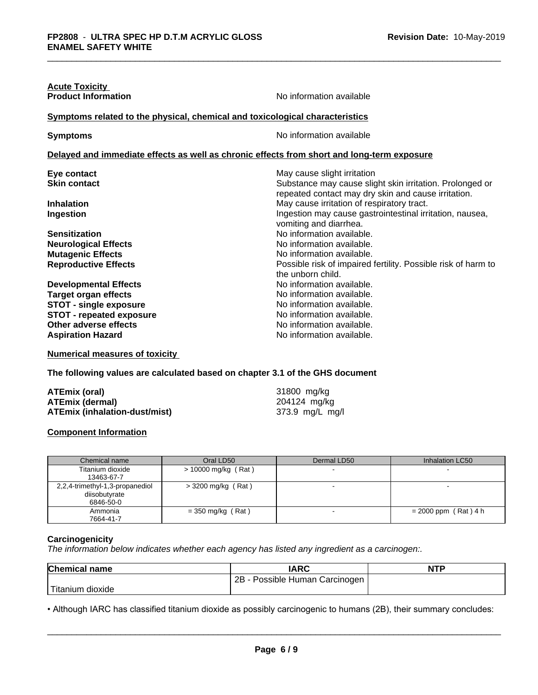| <b>Acute Toxicity</b>                                                                      |                                                                                                                 |
|--------------------------------------------------------------------------------------------|-----------------------------------------------------------------------------------------------------------------|
| <b>Product Information</b>                                                                 | No information available                                                                                        |
| Symptoms related to the physical, chemical and toxicological characteristics               |                                                                                                                 |
| <b>Symptoms</b>                                                                            | No information available                                                                                        |
| Delayed and immediate effects as well as chronic effects from short and long-term exposure |                                                                                                                 |
| Eye contact                                                                                | May cause slight irritation                                                                                     |
| <b>Skin contact</b>                                                                        | Substance may cause slight skin irritation. Prolonged or<br>repeated contact may dry skin and cause irritation. |
| <b>Inhalation</b>                                                                          | May cause irritation of respiratory tract.                                                                      |
| <b>Ingestion</b>                                                                           | Ingestion may cause gastrointestinal irritation, nausea,<br>vomiting and diarrhea.                              |
| <b>Sensitization</b>                                                                       | No information available.                                                                                       |
| <b>Neurological Effects</b>                                                                | No information available.                                                                                       |
| <b>Mutagenic Effects</b>                                                                   | No information available.                                                                                       |
| <b>Reproductive Effects</b>                                                                | Possible risk of impaired fertility. Possible risk of harm to<br>the unborn child.                              |
| <b>Developmental Effects</b>                                                               | No information available.                                                                                       |
| <b>Target organ effects</b>                                                                | No information available.                                                                                       |
| <b>STOT - single exposure</b>                                                              | No information available.                                                                                       |
| <b>STOT - repeated exposure</b>                                                            | No information available.                                                                                       |
| Other adverse effects                                                                      | No information available.                                                                                       |
| <b>Aspiration Hazard</b>                                                                   | No information available.                                                                                       |

**Numerical measures of toxicity**

**The following values are calculated based on chapter 3.1 of the GHS document**

| ATEmix (oral)                 | 31800 mg/kg     |
|-------------------------------|-----------------|
| <b>ATEmix (dermal)</b>        | 204124 mg/kg    |
| ATEmix (inhalation-dust/mist) | 373.9 mg/L mg/l |

## **Component Information**

|                                         | Chemical name                   | Oral LD50            | Dermal LD50 | Inhalation LC50        |
|-----------------------------------------|---------------------------------|----------------------|-------------|------------------------|
| Titanium dioxide<br>> 10000 mg/kg (Rat) |                                 |                      |             |                        |
|                                         | 13463-67-7                      |                      |             |                        |
|                                         | 2,2,4-trimethyl-1,3-propanediol | $>$ 3200 mg/kg (Rat) |             |                        |
|                                         | diisobutyrate                   |                      |             |                        |
|                                         | 6846-50-0                       |                      |             |                        |
|                                         | Ammonia                         | $=$ 350 mg/kg (Rat)  |             | $= 2000$ ppm (Rat) 4 h |
|                                         | 7664-41-7                       |                      |             |                        |

#### **Carcinogenicity**

*The information below indicateswhether each agency has listed any ingredient as a carcinogen:.*

| <b>Chemical name</b> | <b>IARC</b>                     | <b>NTP</b> |
|----------------------|---------------------------------|------------|
|                      | 2B<br>Possible Human Carcinogen |            |
| Titanium<br>dioxide  |                                 |            |

• Although IARC has classified titanium dioxide as possibly carcinogenic to humans (2B), their summary concludes:<br> **Page 6/9**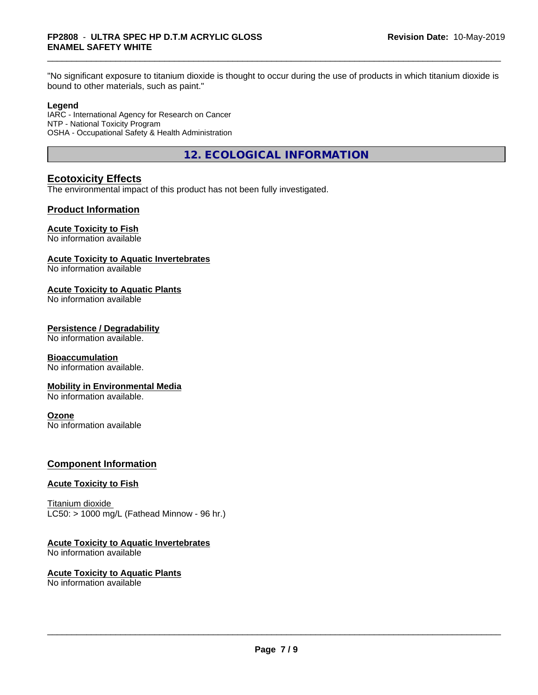"No significant exposure to titanium dioxide is thought to occur during the use of products in which titanium dioxide is bound to other materials, such as paint."

#### **Legend**

IARC - International Agency for Research on Cancer NTP - National Toxicity Program OSHA - Occupational Safety & Health Administration

**12. ECOLOGICAL INFORMATION**

## **Ecotoxicity Effects**

The environmental impact of this product has not been fully investigated.

## **Product Information**

## **Acute Toxicity to Fish**

No information available

## **Acute Toxicity to Aquatic Invertebrates**

No information available

## **Acute Toxicity to Aquatic Plants**

No information available

## **Persistence / Degradability**

No information available.

## **Bioaccumulation**

No information available.

## **Mobility in Environmental Media**

No information available.

## **Ozone**

No information available

## **Component Information**

## **Acute Toxicity to Fish**

Titanium dioxide  $LC50:$  > 1000 mg/L (Fathead Minnow - 96 hr.)

## **Acute Toxicity to Aquatic Invertebrates**

No information available

#### **Acute Toxicity to Aquatic Plants** No information available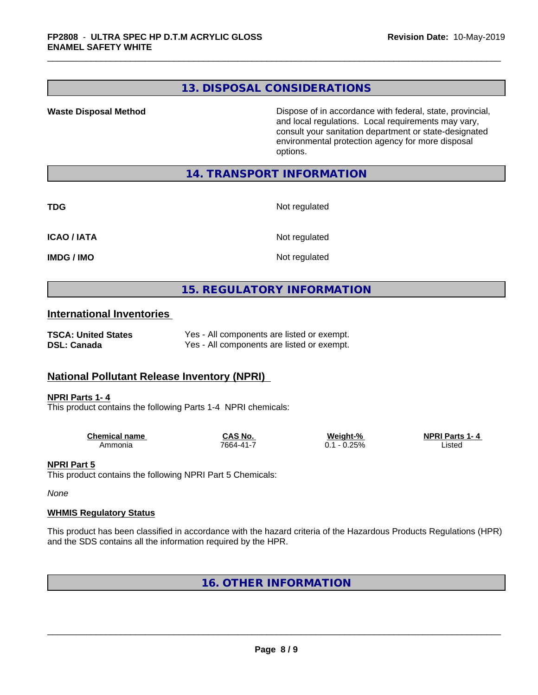## **13. DISPOSAL CONSIDERATIONS**

**Waste Disposal Method** Dispose of in accordance with federal, state, provincial, and local regulations. Local requirements may vary, consult your sanitation department or state-designated environmental protection agency for more disposal options.

## **14. TRANSPORT INFORMATION**

| _<br>٠<br>۰,<br>×<br>v |
|------------------------|
|------------------------|

**Not regulated** 

**ICAO / IATA** Not regulated

**IMDG / IMO** Not regulated

## **15. REGULATORY INFORMATION**

## **International Inventories**

| <b>TSCA: United States</b> | Yes - All components are listed or exempt. |
|----------------------------|--------------------------------------------|
| <b>DSL: Canada</b>         | Yes - All components are listed or exempt. |

## **National Pollutant Release Inventory (NPRI)**

#### **NPRI Parts 1- 4**

This product contains the following Parts 1-4 NPRI chemicals:

| <b>Chemical name</b> | <b>CAS No.</b> | Weight-%     | <b>NPRI Parts</b><br>1- 4 |  |
|----------------------|----------------|--------------|---------------------------|--|
| Ammonia              | 7664-41-7      | 0.25%<br>U., | Listec                    |  |

## **NPRI Part 5**

This product contains the following NPRI Part 5 Chemicals:

*None*

## **WHMIS Regulatory Status**

This product has been classified in accordance with the hazard criteria of the Hazardous Products Regulations (HPR) and the SDS contains all the information required by the HPR.

## **16. OTHER INFORMATION**